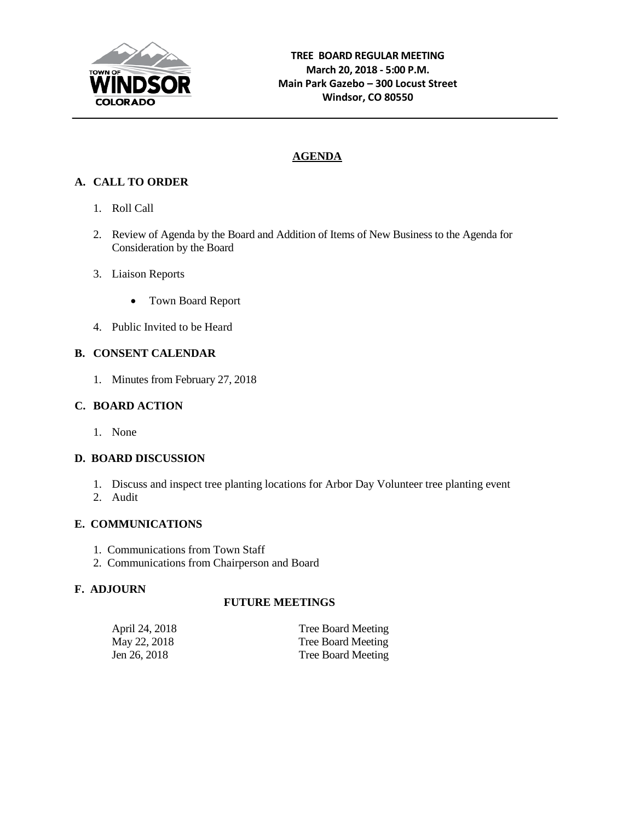

# **AGENDA**

# **A. CALL TO ORDER**

- 1. Roll Call
- 2. Review of Agenda by the Board and Addition of Items of New Business to the Agenda for Consideration by the Board
- 3. Liaison Reports
	- Town Board Report
- 4. Public Invited to be Heard

# **B. CONSENT CALENDAR**

1. Minutes from February 27, 2018

## **C. BOARD ACTION**

1. None

## **D. BOARD DISCUSSION**

- 1. Discuss and inspect tree planting locations for Arbor Day Volunteer tree planting event
- 2. Audit

## **E. COMMUNICATIONS**

- 1. Communications from Town Staff
- 2. Communications from Chairperson and Board

## **F. ADJOURN**

## **FUTURE MEETINGS**

| April 24, 2018 | Tree Board Meeting |
|----------------|--------------------|
| May 22, 2018   | Tree Board Meeting |
| Jen 26, 2018   | Tree Board Meeting |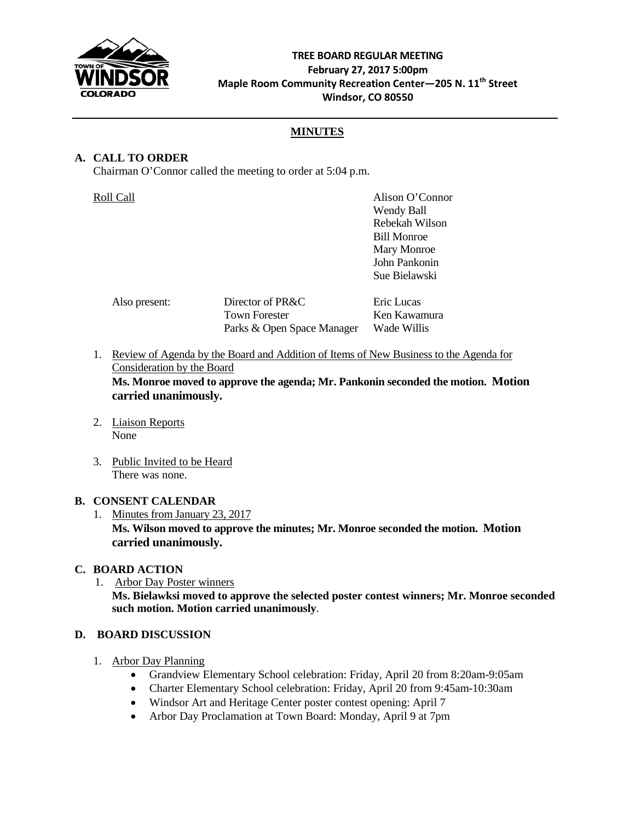

## **TREE BOARD REGULAR MEETING February 27, 2017 5:00pm Maple Room Community Recreation Center—205 N. 11th Street Windsor, CO 80550**

# **MINUTES**

# **A. CALL TO ORDER**

Chairman O'Connor called the meeting to order at 5:04 p.m.

| Roll Call     |                            | Alison O'Connor    |
|---------------|----------------------------|--------------------|
|               |                            | Wendy Ball         |
|               |                            | Rebekah Wilson     |
|               |                            | <b>Bill Monroe</b> |
|               |                            | Mary Monroe        |
|               |                            | John Pankonin      |
|               |                            | Sue Bielawski      |
| Also present: | Director of PR&C           | Eric Lucas         |
|               | <b>Town Forester</b>       | Ken Kawamura       |
|               | Parks & Open Space Manager | Wade Willis        |

- 1. Review of Agenda by the Board and Addition of Items of New Business to the Agenda for Consideration by the Board **Ms. Monroe moved to approve the agenda; Mr. Pankonin seconded the motion. Motion carried unanimously.**
- 2. Liaison Reports None
- 3. Public Invited to be Heard There was none.

## **B. CONSENT CALENDAR**

1. Minutes from January 23, 2017

**Ms. Wilson moved to approve the minutes; Mr. Monroe seconded the motion. Motion carried unanimously.**

## **C. BOARD ACTION**

1. Arbor Day Poster winners **Ms. Bielawksi moved to approve the selected poster contest winners; Mr. Monroe seconded such motion. Motion carried unanimously**.

## **D. BOARD DISCUSSION**

- 1. Arbor Day Planning
	- Grandview Elementary School celebration: Friday, April 20 from 8:20am-9:05am
	- Charter Elementary School celebration: Friday, April 20 from 9:45am-10:30am
	- Windsor Art and Heritage Center poster contest opening: April 7
	- Arbor Day Proclamation at Town Board: Monday, April 9 at 7pm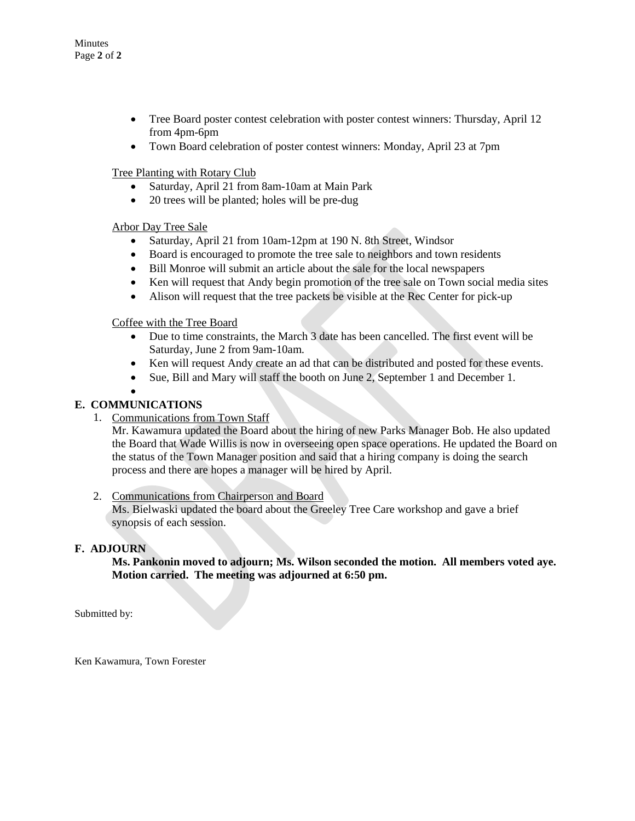- Tree Board poster contest celebration with poster contest winners: Thursday, April 12 from 4pm-6pm
- Town Board celebration of poster contest winners: Monday, April 23 at 7pm

#### Tree Planting with Rotary Club

- Saturday, April 21 from 8am-10am at Main Park
- 20 trees will be planted; holes will be pre-dug

#### Arbor Day Tree Sale

- Saturday, April 21 from 10am-12pm at 190 N. 8th Street, Windsor
- Board is encouraged to promote the tree sale to neighbors and town residents
- Bill Monroe will submit an article about the sale for the local newspapers
- Ken will request that Andy begin promotion of the tree sale on Town social media sites
- Alison will request that the tree packets be visible at the Rec Center for pick-up

#### Coffee with the Tree Board

- Due to time constraints, the March 3 date has been cancelled. The first event will be Saturday, June 2 from 9am-10am.
- Ken will request Andy create an ad that can be distributed and posted for these events.
- Sue, Bill and Mary will staff the booth on June 2, September 1 and December 1.

#### • **E. COMMUNICATIONS**

1. Communications from Town Staff

Mr. Kawamura updated the Board about the hiring of new Parks Manager Bob. He also updated the Board that Wade Willis is now in overseeing open space operations. He updated the Board on the status of the Town Manager position and said that a hiring company is doing the search process and there are hopes a manager will be hired by April.

#### 2. Communications from Chairperson and Board

Ms. Bielwaski updated the board about the Greeley Tree Care workshop and gave a brief synopsis of each session.

#### **F. ADJOURN**

**Ms. Pankonin moved to adjourn; Ms. Wilson seconded the motion. All members voted aye. Motion carried. The meeting was adjourned at 6:50 pm.**

Submitted by:

Ken Kawamura, Town Forester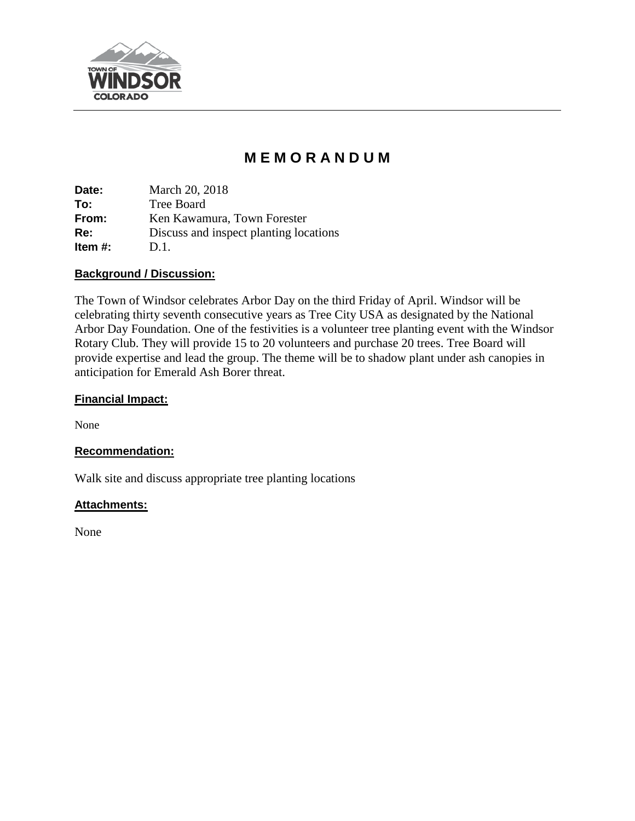

# **M E M O R A N D U M**

**Date:** March 20, 2018 **To:** Tree Board **From:** Ken Kawamura, Town Forester **Re:** Discuss and inspect planting locations **Item #:** D.1.

# **Background / Discussion:**

The Town of Windsor celebrates Arbor Day on the third Friday of April. Windsor will be celebrating thirty seventh consecutive years as Tree City USA as designated by the National Arbor Day Foundation. One of the festivities is a volunteer tree planting event with the Windsor Rotary Club. They will provide 15 to 20 volunteers and purchase 20 trees. Tree Board will provide expertise and lead the group. The theme will be to shadow plant under ash canopies in anticipation for Emerald Ash Borer threat.

# **Financial Impact:**

None

# **Recommendation:**

Walk site and discuss appropriate tree planting locations

# **Attachments:**

None